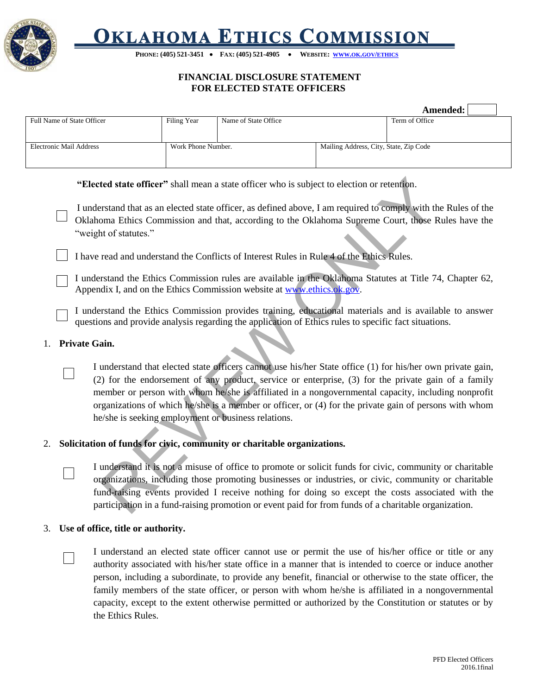

# **OKLAHOMA ETHICS COMMISSION**

PHONE: (405) 521-3451 • FAX: (405) 521-4905 • WEBSITE: WWW.OK.GOV/[ETHICS](http://www.ok.gov/ethics)

# **FINANCIAL DISCLOSURE STATEMENT FOR ELECTED STATE OFFICERS**

|                            |                    |                      |                                        | Amended:       |
|----------------------------|--------------------|----------------------|----------------------------------------|----------------|
| Full Name of State Officer | Filing Year        | Name of State Office |                                        | Term of Office |
|                            |                    |                      |                                        |                |
| Electronic Mail Address    | Work Phone Number. |                      | Mailing Address, City, State, Zip Code |                |
|                            |                    |                      |                                        |                |

**"Elected state officer"** shall mean a state officer who is subject to election or retention.

I understand that as an elected state officer, as defined above, I am required to comply with the Rules of the Oklahoma Ethics Commission and that, according to the Oklahoma Supreme Court, those Rules have the "weight of statutes."

I have read and understand the Conflicts of Interest Rules in Rule 4 of the Ethics Rules.

I understand the Ethics Commission rules are available in the Oklahoma Statutes at Title 74, Chapter 62, Appendix I, and on the Ethics Commission website at www.ethics.ok.gov.

I understand the Ethics Commission provides training, educational materials and is available to answer questions and provide analysis regarding the application of Ethics rules to specific fact situations.

### 1. **Private Gain.**

ted state officer" shall mean a state officer who is subject to election or retention.<br>
Fishand that as an elected state officer, as defined above, I am required to comply with the Foma Ethics Commission and that, accordin I understand that elected state officers cannot use his/her State office (1) for his/her own private gain, (2) for the endorsement of any product, service or enterprise, (3) for the private gain of a family member or person with whom he/she is affiliated in a nongovernmental capacity, including nonprofit organizations of which he/she is a member or officer, or (4) for the private gain of persons with whom he/she is seeking employment or business relations.

### 2. **Solicitation of funds for civic, community or charitable organizations.**

I understand it is not a misuse of office to promote or solicit funds for civic, community or charitable organizations, including those promoting businesses or industries, or civic, community or charitable fund-raising events provided I receive nothing for doing so except the costs associated with the participation in a fund-raising promotion or event paid for from funds of a charitable organization.

### 3. **Use of office, title or authority.**

I understand an elected state officer cannot use or permit the use of his/her office or title or any authority associated with his/her state office in a manner that is intended to coerce or induce another person, including a subordinate, to provide any benefit, financial or otherwise to the state officer, the family members of the state officer, or person with whom he/she is affiliated in a nongovernmental capacity, except to the extent otherwise permitted or authorized by the Constitution or statutes or by the Ethics Rules.